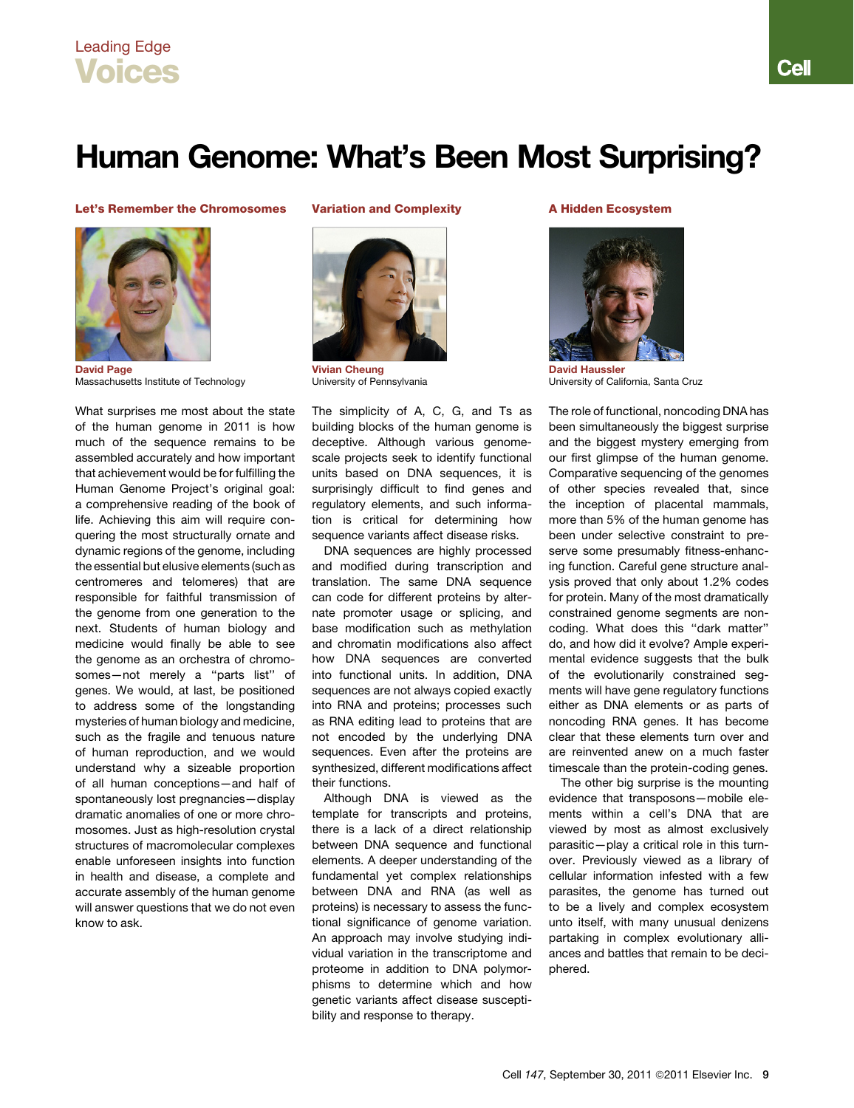# Leading Edge Voices

# Human Genome: What's Been Most Surprising?

#### Let's Remember the Chromosomes



David Page Massachusetts Institute of Technology

What surprises me most about the state of the human genome in 2011 is how much of the sequence remains to be assembled accurately and how important that achievement would be for fulfilling the Human Genome Project's original goal: a comprehensive reading of the book of life. Achieving this aim will require conquering the most structurally ornate and dynamic regions of the genome, including the essential but elusive elements (such as centromeres and telomeres) that are responsible for faithful transmission of the genome from one generation to the next. Students of human biology and medicine would finally be able to see the genome as an orchestra of chromosomes-not merely a "parts list" of genes. We would, at last, be positioned to address some of the longstanding mysteries of human biology and medicine, such as the fragile and tenuous nature of human reproduction, and we would understand why a sizeable proportion of all human conceptions—and half of spontaneously lost pregnancies—display dramatic anomalies of one or more chromosomes. Just as high-resolution crystal structures of macromolecular complexes enable unforeseen insights into function in health and disease, a complete and accurate assembly of the human genome will answer questions that we do not even know to ask.

## Variation and Complexity



Vivian Cheung University of Pennsylvania

The simplicity of A, C, G, and Ts as building blocks of the human genome is deceptive. Although various genomescale projects seek to identify functional units based on DNA sequences, it is surprisingly difficult to find genes and regulatory elements, and such information is critical for determining how sequence variants affect disease risks.

DNA sequences are highly processed and modified during transcription and translation. The same DNA sequence can code for different proteins by alternate promoter usage or splicing, and base modification such as methylation and chromatin modifications also affect how DNA sequences are converted into functional units. In addition, DNA sequences are not always copied exactly into RNA and proteins; processes such as RNA editing lead to proteins that are not encoded by the underlying DNA sequences. Even after the proteins are synthesized, different modifications affect their functions.

Although DNA is viewed as the template for transcripts and proteins, there is a lack of a direct relationship between DNA sequence and functional elements. A deeper understanding of the fundamental yet complex relationships between DNA and RNA (as well as proteins) is necessary to assess the functional significance of genome variation. An approach may involve studying individual variation in the transcriptome and proteome in addition to DNA polymorphisms to determine which and how genetic variants affect disease susceptibility and response to therapy.

### A Hidden Ecosystem



David Haussler University of California, Santa Cruz

The role of functional, noncoding DNA has been simultaneously the biggest surprise and the biggest mystery emerging from our first glimpse of the human genome. Comparative sequencing of the genomes of other species revealed that, since the inception of placental mammals, more than 5% of the human genome has been under selective constraint to preserve some presumably fitness-enhancing function. Careful gene structure analysis proved that only about 1.2% codes for protein. Many of the most dramatically constrained genome segments are noncoding. What does this ''dark matter'' do, and how did it evolve? Ample experimental evidence suggests that the bulk of the evolutionarily constrained segments will have gene regulatory functions either as DNA elements or as parts of noncoding RNA genes. It has become clear that these elements turn over and are reinvented anew on a much faster timescale than the protein-coding genes.

The other big surprise is the mounting evidence that transposons—mobile elements within a cell's DNA that are viewed by most as almost exclusively parasitic—play a critical role in this turnover. Previously viewed as a library of cellular information infested with a few parasites, the genome has turned out to be a lively and complex ecosystem unto itself, with many unusual denizens partaking in complex evolutionary alliances and battles that remain to be deciphered.